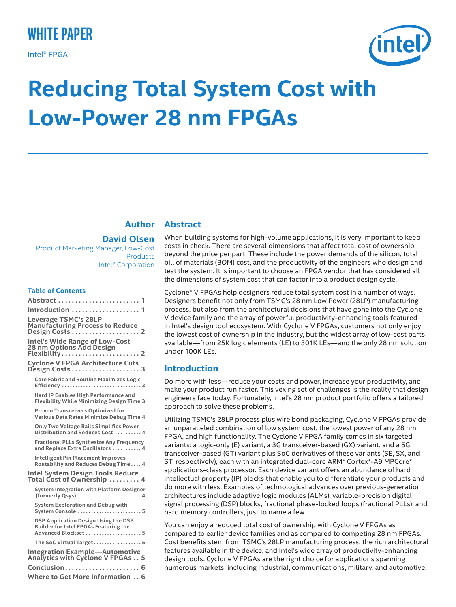# **white paper**

Intel® FPGA



# **Reducing Total System Cost with Low-Power 28 nm FPGAs**

# **Author**

# **David Olsen**

Product Marketing Manager, Low-Cost **Products** Intel® Corporation

#### **Table of Contents**

| $\mathbf 1$                                                                                                 |
|-------------------------------------------------------------------------------------------------------------|
| Introduction  1                                                                                             |
| Leverage TSMC's 28LP<br><b>Manufacturing Process to Reduce</b><br>Design Costs  2                           |
| <b>Intel's Wide Range of Low-Cost</b><br>28 nm Options Add Design<br>Flexibility<br>$\ldots$ 2              |
| <b>Cyclone V FPGA Architecture Cuts</b>                                                                     |
| <b>Core Fabric and Routing Maximizes Logic</b><br>Efficiency 3                                              |
| Hard IP Enables High Performance and<br><b>Flexibility While Minimizing Design Time 3</b>                   |
| <b>Proven Transceivers Optimized for</b><br>Various Data Rates Minimize Debug Time 4                        |
| Only Two Voltage Rails Simplifies Power<br>Distribution and Reduces Cost  4                                 |
| Fractional PLLs Synthesize Any Frequency<br>and Replace Extra Oscillators  4                                |
| <b>Intelligent Pin Placement Improves</b><br>Routability and Reduces Debug Time 4                           |
| <b>Intel System Design Tools Reduce</b><br>Total Cost of Ownership  4                                       |
| System Integration with Platform Designer<br>(formerly Qsys)  4                                             |
| <b>System Exploration and Debug with</b><br>System Console 5                                                |
| DSP Application Design Using the DSP<br><b>Builder for Intel FPGAs Featuring the</b><br>Advanced Blockset 5 |
| The SoC Virtual Target5                                                                                     |
| <b>Integration Example-Automotive</b><br>Analytics with Cyclone V FPGAs 5                                   |
| Conclusion 6                                                                                                |
| <b>Where to Get More Information 6</b>                                                                      |
|                                                                                                             |

# **Abstract**

When building systems for high-volume applications, it is very important to keep costs in check. There are several dimensions that affect total cost of ownership beyond the price per part. These include the power demands of the silicon, total bill of materials (BOM) cost, and the productivity of the engineers who design and test the system. It is important to choose an FPGA vendor that has considered all the dimensions of system cost that can factor into a product design cycle.

Cyclone® V FPGAs help designers reduce total system cost in a number of ways. Designers benefit not only from TSMC's 28 nm Low Power (28LP) manufacturing process, but also from the architectural decisions that have gone into the Cyclone V device family and the array of powerful productivity-enhancing tools featured in Intel's design tool ecosystem. With Cyclone V FPGAs, customers not only enjoy the lowest cost of ownership in the industry, but the widest array of low-cost parts available—from 25K logic elements (LE) to 301K LEs—and the only 28 nm solution under 100K LEs.

# **Introduction**

Do more with less—reduce your costs and power, increase your productivity, and make your product run faster. This vexing set of challenges is the reality that design engineers face today. Fortunately, Intel's 28 nm product portfolio offers a tailored approach to solve these problems.

Utilizing TSMC's 28LP process plus wire bond packaging, Cyclone V FPGAs provide an unparalleled combination of low system cost, the lowest power of any 28 nm FPGA, and high functionality. The Cyclone V FPGA family comes in six targeted variants: a logic-only (E) variant, a 3G transceiver-based (GX) variant, and a 5G transceiver-based (GT) variant plus SoC derivatives of these variants (SE, SX, and ST, respectively), each with an integrated dual-core ARM\* Cortex\*-A9 MPCore\* applications-class processor. Each device variant offers an abundance of hard intellectual property (IP) blocks that enable you to differentiate your products and do more with less. Examples of technological advances over previous-generation architectures include adaptive logic modules (ALMs), variable-precision digital signal processing (DSP) blocks, fractional phase-locked loops (fractional PLLs), and hard memory controllers, just to name a few.

You can enjoy a reduced total cost of ownership with Cyclone V FPGAs as compared to earlier device families and as compared to competing 28 nm FPGAs. Cost benefits stem from TSMC's 28LP manufacturing process, the rich architectural features available in the device, and Intel's wide array of productivity-enhancing design tools. Cyclone V FPGAs are the right choice for applications spanning numerous markets, including industrial, communications, military, and automotive.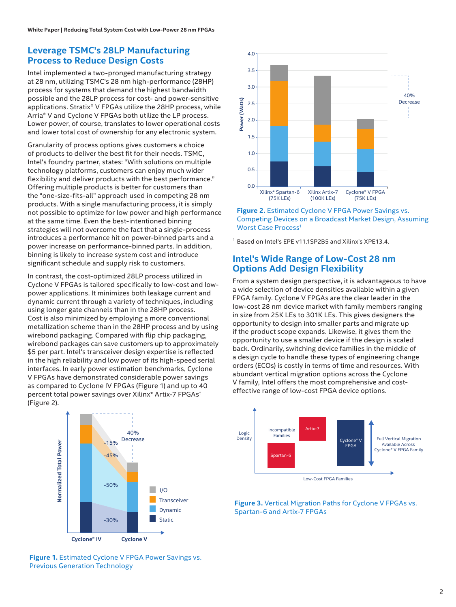## **Leverage TSMC's 28LP Manufacturing Process to Reduce Design Costs**

Intel implemented a two-pronged manufacturing strategy at 28 nm, utilizing TSMC's 28 nm high-performance (28HP) process for systems that demand the highest bandwidth possible and the 28LP process for cost- and power-sensitive applications. Stratix® V FPGAs utilize the 28HP process, while Arria® V and Cyclone V FPGAs both utilize the LP process. Lower power, of course, translates to lower operational costs and lower total cost of ownership for any electronic system.

Granularity of process options gives customers a choice of products to deliver the best fit for their needs. TSMC, Intel's foundry partner, states: "With solutions on multiple technology platforms, customers can enjoy much wider flexibility and deliver products with the best performance." Offering multiple products is better for customers than the "one-size-fits-all" approach used in competing 28 nm products. With a single manufacturing process, it is simply not possible to optimize for low power and high performance at the same time. Even the best-intentioned binning strategies will not overcome the fact that a single-process introduces a performance hit on power-binned parts and a power increase on performance-binned parts. In addition, binning is likely to increase system cost and introduce significant schedule and supply risk to customers.

In contrast, the cost-optimized 28LP process utilized in Cyclone V FPGAs is tailored specifically to low-cost and lowpower applications. It minimizes both leakage current and dynamic current through a variety of techniques, including using longer gate channels than in the 28HP process. Cost is also minimized by employing a more conventional metallization scheme than in the 28HP process and by using wirebond packaging. Compared with flip chip packaging, wirebond packages can save customers up to approximately \$5 per part. Intel's transceiver design expertise is reflected in the high reliability and low power of its high-speed serial interfaces. In early power estimation benchmarks, Cyclone V FPGAs have demonstrated considerable power savings as compared to Cyclone IV FPGAs (Figure 1) and up to 40 percent total power savings over Xilinx\* Artix-7 FPGAs† (Figure 2).





1.5

2.0

2.5

3.0

3.5

4.0

# **Intel's Wide Range of Low-Cost 28 nm Options Add Design Flexibility**

From a system design perspective, it is advantageous to have a wide selection of device densities available within a given FPGA family. Cyclone V FPGAs are the clear leader in the low-cost 28 nm device market with family members ranging in size from 25K LEs to 301K LEs. This gives designers the opportunity to design into smaller parts and migrate up if the product scope expands. Likewise, it gives them the opportunity to use a smaller device if the design is scaled back. Ordinarily, switching device families in the middle of a design cycle to handle these types of engineering change orders (ECOs) is costly in terms of time and resources. With abundant vertical migration options across the Cyclone V family, Intel offers the most comprehensive and costeffective readers of low-cost PFGA device in the product scheme of the readers of low-cost FPGA device of the proton of the cost FPGA device of the cost FPGA device of the cost FPGA device of the proton and the selection o

40% Decrease



**Figure 3.** Vertical Migration Paths for Cyclone V FPGAs vs. Spartan-6 and Artix-7 FPGAs

**Figure 1.** Estimated Cyclone V FPGA Power Savings vs. Previous Generation Technology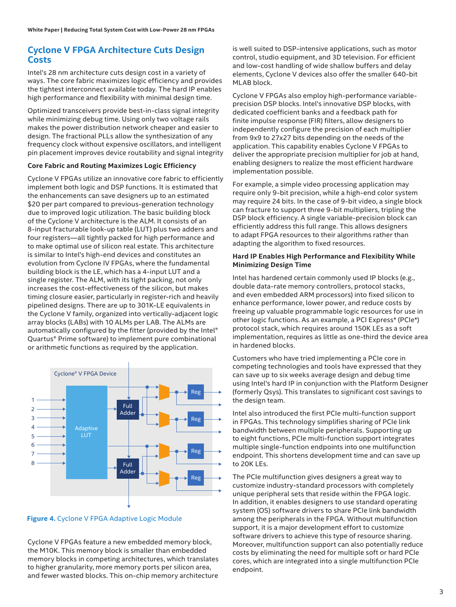# **Cyclone V FPGA Architecture Cuts Design Costs**

Intel's 28 nm architecture cuts design cost in a variety of ways. The core fabric maximizes logic efficiency and provides the tightest interconnect available today. The hard IP enables high performance and flexibility with minimal design time.

Optimized transceivers provide best-in-class signal integrity while minimizing debug time. Using only two voltage rails makes the power distribution network cheaper and easier to design. The fractional PLLs allow the synthesization of any frequency clock without expensive oscillators, and intelligent pin placement improves device routability and signal integrity

#### **Core Fabric and Routing Maximizes Logic Efficiency**

Cyclone V FPGAs utilize an innovative core fabric to efficiently implement both logic and DSP functions. It is estimated that the enhancements can save designers up to an estimated \$20 per part compared to previous-generation technology due to improved logic utilization. The basic building block of the Cyclone V architecture is the ALM. It consists of an 8-input fracturable look-up table (LUT) plus two adders and four registers—all tightly packed for high performance and to make optimal use of silicon real estate. This architecture is similar to Intel's high-end devices and constitutes an evolution from Cyclone IV FPGAs, where the fundamental building block is the LE, which has a 4-input LUT and a single register. The ALM, with its tight packing, not only increases the cost-effectiveness of the silicon, but makes timing closure easier, particularly in register-rich and heavily pipelined designs. There are up to 301K-LE equivalents in the Cyclone V family, organized into vertically-adjacent logic array blocks (LABs) with 10 ALMs per LAB. The ALMs are automatically configured by the fitter (provided by the Intel® Quartus® Prime software) to implement pure combinational or arithmetic functions as required by the application.





Cyclone V FPGAs feature a new embedded memory block, the M10K. This memory block is smaller than embedded memory blocks in competing architectures, which translates to higher granularity, more memory ports per silicon area, and fewer wasted blocks. This on-chip memory architecture

is well suited to DSP-intensive applications, such as motor control, studio equipment, and 3D television. For efficient and low-cost handling of wide shallow buffers and delay elements, Cyclone V devices also offer the smaller 640-bit MLAB block.

Cyclone V FPGAs also employ high-performance variableprecision DSP blocks. Intel's innovative DSP blocks, with dedicated coefficient banks and a feedback path for finite impulse response (FIR) filters, allow designers to independently configure the precision of each multiplier from 9x9 to 27x27 bits depending on the needs of the application. This capability enables Cyclone V FPGAs to deliver the appropriate precision multiplier for job at hand, enabling designers to realize the most efficient hardware implementation possible.

For example, a simple video processing application may require only 9-bit precision, while a high-end color system may require 24 bits. In the case of 9-bit video, a single block can fracture to support three 9-bit multipliers, tripling the DSP block efficiency. A single variable-precision block can efficiently address this full range. This allows designers to adapt FPGA resources to their algorithms rather than adapting the algorithm to fixed resources.

#### **Hard IP Enables High Performance and Flexibility While Minimizing Design Time**

Intel has hardened certain commonly used IP blocks (e.g., double data-rate memory controllers, protocol stacks, and even embedded ARM processors) into fixed silicon to enhance performance, lower power, and reduce costs by freeing up valuable programmable logic resources for use in other logic functions. As an example, a PCI Express\* (PCIe\*) protocol stack, which requires around 150K LEs as a soft implementation, requires as little as one-third the device area in hardened blocks.

Customers who have tried implementing a PCIe core in competing technologies and tools have expressed that they can save up to six weeks average design and debug time using Intel's hard IP in conjunction with the Platform Designer (formerly Qsys). This translates to significant cost savings to the design team.

Intel also introduced the first PCIe multi-function support in FPGAs. This technology simplifies sharing of PCIe link bandwidth between multiple peripherals. Supporting up to eight functions, PCIe multi-function support integrates multiple single-function endpoints into one multifunction endpoint. This shortens development time and can save up to 20K LEs.

The PCIe multifunction gives designers a great way to customize industry-standard processors with completely unique peripheral sets that reside within the FPGA logic. In addition, it enables designers to use standard operating system (OS) software drivers to share PCIe link bandwidth among the peripherals in the FPGA. Without multifunction support, it is a major development effort to customize software drivers to achieve this type of resource sharing. Moreover, multifunction support can also potentially reduce costs by eliminating the need for multiple soft or hard PCIe cores, which are integrated into a single multifunction PCIe endpoint.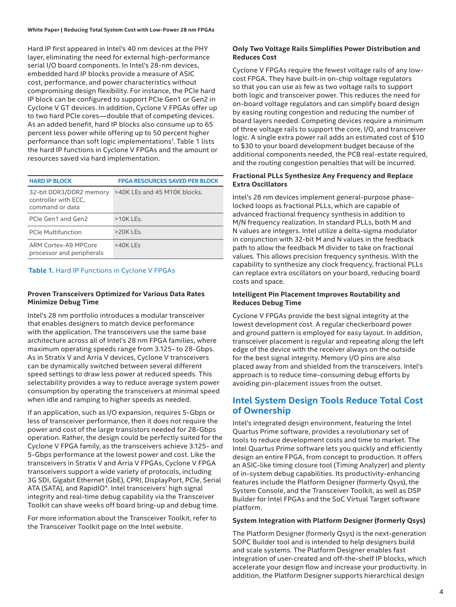#### **White Paper | Reducing Total System Cost with Low-Power 28 nm FPGAs**

Hard IP first appeared in Intel's 40 nm devices at the PHY layer, eliminating the need for external high-performance serial I/O board components. In Intel's 28-nm devices, embedded hard IP blocks provide a measure of ASIC cost, performance, and power characteristics without compromising design flexibility. For instance, the PCIe hard IP block can be configured to support PCIe Gen1 or Gen2 in Cyclone V GT devices. In addition, Cyclone V FPGAs offer up to two hard PCIe cores—double that of competing devices. As an added benefit, hard IP blocks also consume up to 65 percent less power while offering up to 50 percent higher performance than soft logic implementations† . Table 1 lists the hard IP functions in Cyclone V FPGAs and the amount or resources saved via hard implementation.

| <b>HARD IP BLOCK</b>                                               | <b>FPGA RESOURCES SAVED PER BLOCK</b> |
|--------------------------------------------------------------------|---------------------------------------|
| 32-bit DDR3/DDR2 memory<br>controller with ECC.<br>command or data | >40K LEs and 45 M10K blocks.          |
| PCIe Gen1 and Gen2                                                 | $>10K$ LEs.                           |
| <b>PCIe Multifunction</b>                                          | $>20K$   Fs.                          |
| ARM Cortex-A9 MPCore<br>processor and peripherals                  | $>40K$ LEs                            |

#### **Table 1.** Hard IP Functions in Cyclone V FPGAs

#### **Proven Transceivers Optimized for Various Data Rates Minimize Debug Time**

Intel's 28 nm portfolio introduces a modular transceiver that enables designers to match device performance with the application. The transceivers use the same base architecture across all of Intel's 28 nm FPGA families, where maximum operating speeds range from 3.125- to 28-Gbps. As in Stratix V and Arria V devices, Cyclone V transceivers can be dynamically switched between several different speed settings to draw less power at reduced speeds. This selectability provides a way to reduce average system power consumption by operating the transceivers at minimal speed when idle and ramping to higher speeds as needed.

If an application, such as I/O expansion, requires 5-Gbps or less of transceiver performance, then it does not require the power and cost of the large transistors needed for 28-Gbps operation. Rather, the design could be perfectly suited for the Cyclone V FPGA family, as the transceivers achieve 3.125- and 5-Gbps performance at the lowest power and cost. Like the transceivers in Stratix V and Arria V FPGAs, Cyclone V FPGA transceivers support a wide variety of protocols, including 3G SDI, Gigabit Ethernet (GbE), CPRI, DisplayPort, PCIe, Serial ATA (SATA), and RapidIO®. Intel transceivers' high signal integrity and real-time debug capability via the Transceiver Toolkit can shave weeks off board bring-up and debug time.

For more information about the Transceiver Toolkit, refer to the Transceiver Toolkit page on the Intel website.

#### **Only Two Voltage Rails Simplifies Power Distribution and Reduces Cost**

Cyclone V FPGAs require the fewest voltage rails of any lowcost FPGA. They have built-in on-chip voltage regulators so that you can use as few as two voltage rails to support both logic and transceiver power. This reduces the need for on-board voltage regulators and can simplify board design by easing routing congestion and reducing the number of board layers needed. Competing devices require a minimum of three voltage rails to support the core, I/O, and transceiver logic. A single extra power rail adds an estimated cost of \$10 to \$30 to your board development budget because of the additional components needed, the PCB real-estate required, and the routing congestion penalties that will be incurred.

#### **Fractional PLLs Synthesize Any Frequency and Replace Extra Oscillators**

Intel's 28 nm devices implement general-purpose phaselocked loops as fractional PLLs, which are capable of advanced fractional frequency synthesis in addition to M/N frequency realization. In standard PLLs, both M and N values are integers. Intel utilize a delta-sigma modulator in conjunction with 32-bit M and N values in the feedback path to allow the feedback M divider to take on fractional values. This allows precision frequency synthesis. With the capability to synthesize any clock frequency, fractional PLLs can replace extra oscillators on your board, reducing board costs and space.

#### **Intelligent Pin Placement Improves Routability and Reduces Debug Time**

Cyclone V FPGAs provide the best signal integrity at the lowest development cost. A regular checkerboard power and ground pattern is employed for easy layout. In addition, transceiver placement is regular and repeating along the left edge of the device with the receiver always on the outside for the best signal integrity. Memory I/O pins are also placed away from and shielded from the transceivers. Intel's approach is to reduce time-consuming debug efforts by avoiding pin-placement issues from the outset.

# **Intel System Design Tools Reduce Total Cost of Ownership**

Intel's integrated design environment, featuring the Intel Quartus Prime software, provides a revolutionary set of tools to reduce development costs and time to market. The Intel Quartus Prime software lets you quickly and efficiently design an entire FPGA, from concept to production. It offers an ASIC-like timing closure tool (Timing Analyzer) and plenty of in-system debug capabilities. Its productivity-enhancing features include the Platform Designer (formerly Qsys), the System Console, and the Transceiver Toolkit, as well as DSP Builder for Intel FPGAs and the SoC Virtual Target software platform.

#### **System Integration with Platform Designer (formerly Qsys)**

The Platform Designer (formerly Qsys) is the next-generation SOPC Builder tool and is intended to help designers build and scale systems. The Platform Designer enables fast integration of user-created and off-the-shelf IP blocks, which accelerate your design flow and increase your productivity. In addition, the Platform Designer supports hierarchical design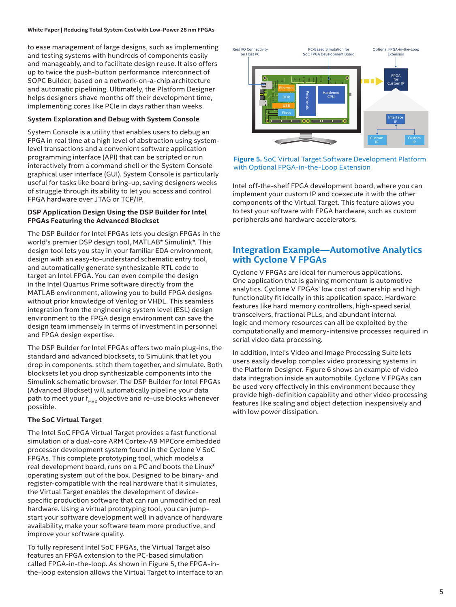#### **White Paper | Reducing Total System Cost with Low-Power 28 nm FPGAs**

to ease management of large designs, such as implementing and testing systems with hundreds of components easily and manageably, and to facilitate design reuse. It also offers up to twice the push-button performance interconnect of SOPC Builder, based on a network-on-a-chip architecture and automatic pipelining. Ultimately, the Platform Designer helps designers shave months off their development time, implementing cores like PCIe in days rather than weeks.

#### **System Exploration and Debug with System Console**

System Console is a utility that enables users to debug an FPGA in real time at a high level of abstraction using systemlevel transactions and a convenient software application programming interface (API) that can be scripted or run interactively from a command shell or the System Console graphical user interface (GUI). System Console is particularly useful for tasks like board bring-up, saving designers weeks of struggle through its ability to let you access and control FPGA hardware over JTAG or TCP/IP.

#### **DSP Application Design Using the DSP Builder for Intel FPGAs Featuring the Advanced Blockset**

The DSP Builder for Intel FPGAs lets you design FPGAs in the world's premier DSP design tool, MATLAB\* Simulink\*. This design tool lets you stay in your familiar EDA environment, design with an easy-to-understand schematic entry tool, and automatically generate synthesizable RTL code to target an Intel FPGA. You can even compile the design in the Intel Quartus Prime software directly from the MATLAB environment, allowing you to build FPGA designs without prior knowledge of Verilog or VHDL. This seamless integration from the engineering system level (ESL) design environment to the FPGA design environment can save the design team immensely in terms of investment in personnel and FPGA design expertise.

The DSP Builder for Intel FPGAs offers two main plug-ins, the standard and advanced blocksets, to Simulink that let you drop in components, stitch them together, and simulate. Both blocksets let you drop synthesizable components into the Simulink schematic browser. The DSP Builder for Intel FPGAs (Advanced Blockset) will automatically pipeline your data path to meet your  $f_{MAX}$  objective and re-use blocks whenever possible.

#### **The SoC Virtual Target**

The Intel SoC FPGA Virtual Target provides a fast functional simulation of a dual-core ARM Cortex-A9 MPCore embedded processor development system found in the Cyclone V SoC FPGAs. This complete prototyping tool, which models a real development board, runs on a PC and boots the Linux\* operating system out of the box. Designed to be binary- and register-compatible with the real hardware that it simulates, the Virtual Target enables the development of devicespecific production software that can run unmodified on real hardware. Using a virtual prototyping tool, you can jumpstart your software development well in advance of hardware availability, make your software team more productive, and improve your software quality.

To fully represent Intel SoC FPGAs, the Virtual Target also features an FPGA extension to the PC-based simulation called FPGA-in-the-loop. As shown in Figure 5, the FPGA-inthe-loop extension allows the Virtual Target to interface to an



**Figure 5.** SoC Virtual Target Software Development Platform with Optional FPGA-in-the-Loop Extension

Intel off-the-shelf FPGA development board, where you can implement your custom IP and coexecute it with the other components of the Virtual Target. This feature allows you to test your software with FPGA hardware, such as custom peripherals and hardware accelerators.

# **Integration Example—Automotive Analytics with Cyclone V FPGAs**

Cyclone V FPGAs are ideal for numerous applications. One application that is gaining momentum is automotive analytics. Cyclone V FPGAs' low cost of ownership and high functionality fit ideally in this application space. Hardware features like hard memory controllers, high-speed serial transceivers, fractional PLLs, and abundant internal logic and memory resources can all be exploited by the computationally and memory-intensive processes required in serial video data processing.

In addition, Intel's Video and Image Processing Suite lets users easily develop complex video processing systems in the Platform Designer. Figure 6 shows an example of video data integration inside an automobile. Cyclone V FPGAs can be used very effectively in this environment because they provide high-definition capability and other video processing features like scaling and object detection inexpensively and with low power dissipation.